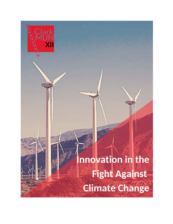# nnovation in the **Fight Against Climate Change**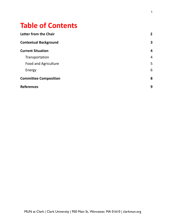# **Table of Contents**

| <b>Letter from the Chair</b> | $\overline{2}$ |
|------------------------------|----------------|
| <b>Contextual Background</b> | 3              |
| <b>Current Situation</b>     | 4              |
| Transportation               | 4              |
| <b>Food and Agriculture</b>  | 5              |
| Energy                       | 6              |
| <b>Committee Composition</b> | 8              |
| <b>References</b>            | 9              |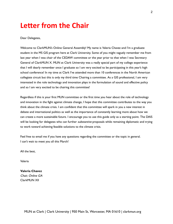# **Letter from the Chair**

Dear Delegates,

Welcome to ClarkMUN's Online General Assembly! My name is Valeria Chavez and I'm a graduate student in the MS GIS program here at Clark University. Some of you might vaguely remember me from last year when I was chair of the CEDAW committee or the year prior to that when I was Secretary General of ClarkMUN X. MUN at Clark University was a really special part of my college experience that I will dearly remember once I graduate so I am very excited to be participating in this year's high school conference! In my time at Clark I've attended more than 10 conferences in the North American collegiate circuit but this is only my third time Chairing a committee. As a GIS professional, I am very interested in the role technology and innovation plays in the formulation of sound and effective policy and so I am very excited to be chairing this committee!

Regardless if this is your first MUN committee or the first time you hear about the role of technology and innovation in the fight against climate change, I hope that this committee contributes to the way you think about the climate crisis. I am confident that this committee will spark in you a new interest in debate and international politics as well as the importance of constantly learning more about how we can create a more sustainable future. I encourage you to use this guide only as a starting point. The DAIS will be looking for delegates who can further *substantive* proposals while remaining diplomatic and trying to work toward achieving feasible solutions to the climate crisis.

Feel free to email me if you have any questions regarding the committee or the topic in general. I can't wait to meet you all this March!

All the best,

Valeria

**Valeria Chavez** Chair, Online GA ClarkMUN XII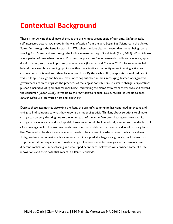## **Contextual Background**

There is no denying that climate change is the single most urgent crisis of our time. Unfortunately, self-interested actors have stood in the way of action from the very beginning. Scientists in the United States first brought the issue forward in 1979, when the data clearly showed that human beings were altering Earth's atmosphere through the indiscriminate burning of fossil fuels (Rich, 2018). What followed was a period of time when the world's largest corporations funded research to discredit science, spread disinformation, and, most importantly, create doubt (Oreskes and Conway, 2010). Governments hid behind the allegedly contending opinions within the scientific community to avoid taking action and corporations continued with their harmful practices. By the early 2000s, corporations realized doubt was no longer enough and became even more sophisticated in their messaging. Instead of organized government action to regulate the practices of the largest contributors to climate change, corporations pushed a narrative of "personal responsibility," redirecting the blame away from themselves and toward the consumer (Leber, 2021). It was up to the *individual* to reduce, reuse, recycle; it was up to each household to use less water, heat and electricity.

Despite these attempts at distorting the facts, the scientific community has continued innovating and trying to find solutions to what they know is an impending crisis. Thinking about solutions to climate change can be very daunting due to the wide reach of the issue. We often hear about how a radical change in our economic and socio-political structures would be immediately needed to have the least bit of success against it. However, we rarely hear about what this restructured world would actually look like. We need to be able to envision what needs to be changed in order to enact policy to address it. Today, we have technological advancements that, if adopted at a large enough scale, could allow us to stop the worst consequences of climate change. However, these technological advancements have different implications in developing and developed economies. Below we will consider some of these innovations and their potential impact in different contexts.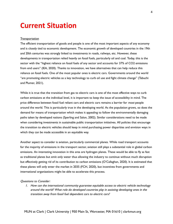## **Current Situation**

#### Transportation

The efficient transportation of goods and people is one of the most important aspects of any economy and is closely tied to economic development. The economic growth of developed countries in the 19th and 20th centuries was strongly linked to investments in roads, railways, etc. However, these developments in transportation relied heavily on fossil fuels, particularly oil and coal. Today, this is the sector with the "highest reliance on fossil fuels of any sector and accounts for 37% of CO2 emissions from end users" (IEA, 2020). Thanks to innovation, we have alternatives that can help reduce this reliance on fossil fuels. One of the most popular ones is electric cars. Governments around the world "are promoting electric vehicles as a key technology to curb oil use and fight climate change" (Tabuchi and Plumer, 2021).

While it is true that the transition from gas to electric cars is one of the most effective ways to curb carbon emissions at the individual level, it is important to keep the issue of accessibility in mind. The price difference between fossil fuel reliant cars and electric cars remains a barrier for most people around the world. This is particularly true in the developing world. As the population grows, so does the demand for means of transportation which makes it appealing to follow the environmentally damaging paths taken by developed nations (Sperling and Salon, 2002). Similar considerations need to be made when considering investments in sustainable public transportation initiatives. All policies that encourage the transition to electric vehicles should keep in mind purchasing power disparities and envision ways in which they can be made accessible in an equitable way.

Another aspect to consider is aviation, particularly commercial planes. While road transport accounts for the majority of emissions in the transport sector, aviation still plays a substantial role in global carbon emissions. An interesting innovation in this area are hydrogen planes. These would be able to fly as fast as traditional planes but emit only water thus allowing the industry to continue without much disruption but effectively getting rid of its contribution to carbon emissions (O'Callaghan, 2020). It is estimated that these planes will only enter the market in 2035 (FCH, 2020), but incentives from governments and international organizations might be able to accelerate this process.

#### Questions to Consider:

1. How can the international community guarantee equitable access to electric vehicle technology around the world? What role do developed countries play in assisting developing ones in the transition away from fossil fuel dependent cars to electric cars?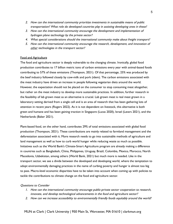- 2. How can the international community prioritize investments in sustainable means of public transportation? What role do developed countries play in assisting developing ones in these?
- 3. How can the international community encourage the development and implementation of hydrogen plane technology by the private sector?
- 4. What special considerations should the international community make about freight transport?
- 5. How can the international community encourage the research, development, and innovation of other technologies in the transport sector?

#### Food and Agriculture

The food and agriculture sector is deeply vulnerable to the changing climate. Ironically, global food production contributes to 17 billion metric tons of carbon emissions every year with animal-based foods contributing to 57% of these emissions (Thompson, 2021). Of that percentage, 25% was produced by the beef industry followed closely by cow-milk and pork (idem). The carbon emissions associated with the meat industry have driven an increase in people following vegetarian diets around the world. However, the expectation should not be placed on the consumer to stop consuming meat altogether, but rather on the meat industry to develop more sustainable practices. In addition, further research in the feasibility of lab grown meat as an alternative is crucial. Lab grown meat is real meat grown in a laboratory setting derived from a single cell and is an area of research that has been gathering lots of attention in recent years (Rogers 2022). As it is not dependent on livestock, this alternative is both green and humane and has been gaining traction in Singapore (Lucas 2020), Israel (Lavars 2021), and the Netherlands (Baker 2021).

Plant-based food, on the other hand, contributes 29% of total emissions associated with global food production (Thompson, 2021). These contributions are mainly related to farmland management and the deforestation associated with it. More research needs to go into sustainable methods of agriculture and land management as well as how to curb world hunger while reducing waste as much as possible. Initiatives such as the World Bank's Climate-Smart Agriculture program are already making a difference in countries such as Bangladesh, China, Philippines, Uruguay, Brazil, Colombia, Mexico, Morocco, North Macedonia, Uzbekistan, among others (World Bank, 2021) but much more is needed. Like in the transport sector, we see a divide between the developed and developing world, where the temptation to adopt environmentally damaging practices in the name of curbing poverty and hunger is almost too big to pass. Macro-level economic disparities have to be taken into account when coming up with policies to tackle the contributions to climate change on the food and agriculture sector.

#### Questions to Consider

- 1. How can the international community encourage public-private sector cooperation to research, innovate, and develop technological advancements in the food and agriculture sector?
- 2. How can we increase accessibility to environmentally friendly foods equitably around the world?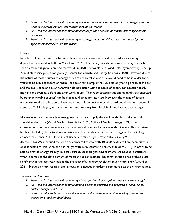- 3. How can the international community balance the urgency to combat climate change with the need to curb/end poverty and hunger around the world?
- 4. How can the international community encourage the adoption of climate-smart agricultural practices?
- 5. How can the international community encourage the stop of deforestation caused by the agricultural sector around the world?

#### Energy

In order to limit the catastrophic impacts of climate change, the world must reduce its energy dependence on fossil fuels (New York Times 2020). In recent years, the renewable energy sector has seen tremendous growth around the world. In 2020, renewables (i.e. wind, solar, hydropower) made up 29% of electricity generation globally (Center for Climate and Energy Solutions 2020). However, due to the nature of these sources of energy, they are not as reliable as they would need to be in order for the world to be fully dependent on them. Take solar for example: the sun is up only for a portion of the day and the peaks of solar power generation do not match with the peaks of energy consumption (early morning and evening, before and after work hours). Thanks to batteries this energy (and that generated by other renewable sources) can be stored and saved for later use. However, the mining of lithium necessary for the production of batteries is not only an environmental hazard but also a non-renewable resource. To fill this gap, and assist in the transition away from fossil fuels, we have nuclear energy.

Nuclear energy is a low-carbon energy source that can supply the world with clean, reliable, and affordable electricity (World Nuclear Association 2020, Office of Nuclear Energy 2021). The conversation about nuclear energy is a controversial one due to concerns about safety. This narrative has been fueled by the natural gas industry, which understands the nuclear energy sector is its largest competitor (Conca 2017). In terms of safety, nuclear energy is responsible for only 90 deaths/trillionkWhr around the world as compared to coal with 100,000 deaths/trillionkWhr, oil with 36,000 deaths/trillionkWhr, and natural gas with 4,000 deaths/trillionkWhr (Conca 2012). In order to be able to provide energy through nuclear sources, technological advancements are needed, particularly when it comes to the development of modular nuclear reactors. Research on fusion has evolved quite significantly in the past year making the prospect of an energy revolution much more likely (Chandler 2021). However, more research and innovation is needed in order to commercialize this energy source.

#### Questions to Consider

- 1. How can the international community challenge the misconceptions about nuclear energy?
- 2. How can the international community find <sup>a</sup> balance between the adoption of renewables, nuclear energy, and fusion?
- 3. How can public-private partnerships maximize the development of technology needed to transition away from fossil fuels?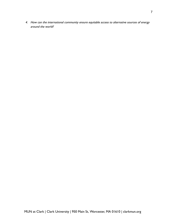4. How can the international community ensure equitable access to alternative sources of energy around the world?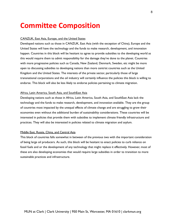# **Committee Composition**

#### CANZUK, East Asia, Europe, and the United States

Developed nations such as those in CANZUK, East Asia (with the exception of China), Europe and the United States will have the technology and the funds to make research, development, and innovation happen. Countries in this block will be hesitant to agree to provide subsidies to the developing world as this would require them to admit responsibility for the damage they've done to the planet. Countries with more progressive policies such as Canada, New Zealand, Denmark, Sweden, etc might be more open to discussing subsidies to developing nations than more centrist countries such as the United Kingdom and the United States. The interests of the private sector, particularly those of large transnational corporations and the oil industry will certainly influence the policies this block is willing to endorse. This block will also be less likely to endorse policies pertaining to climate migration.

#### Africa, Latin America, South Asia, and SouthEast Asia

Developing nations such as those in Africa, Latin America, South Asia, and SouthEast Asia lack the technology and the funds to make research, development, and innovation available. They are the group of countries most impacted by the unequal effects of climate change and are struggling to grow their economies even without the additional burden of sustainability considerations. These countries will be interested in policies that provide them with subsidies to implement climate friendly infrastructure and practices. They will also be interested in policies related to climate migration and asylum.

#### Middle East, Russia, China, and Central Asia

This block of countries falls somewhat in between of the previous two with the important consideration of being large oil producers. As such, this block will be hesitant to enact policies to curb reliance on fossil fuels and or the development of any technology that might replace it effectively. However, most of these are also developing economies that would require large subsidies in order to transition to more sustainable practices and infrastructure.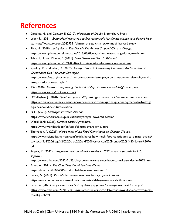# **References**

- *●* Oreskes, N., and Conway, E. (2010). Merchants of Doubt. Bloomsbury Press.
- Leber, R. (2021). *ExxonMobil wants you to feel responsible for climate change so it doesn't have* to. <https://www.vox.com/22429551/climate-change-crisis-exxonmobil-harvard-study>
- Rich, N. (2018). Losing Earth: The Decade We Almost Stopped Climate Change. <https://www.nytimes.com/interactive/2018/08/01/magazine/climate-change-losing-earth.html>
- Tabuchi, H., and Plumer, B. (2021). How Green are Electric Vehicles? <https://www.nytimes.com/2021/03/02/climate/electric-vehicles-environment.html>
- Sperling, D., and Salon, D. (2002). Transportation in Developing Countries: An Overview of Greenhouse Gas Reduction Strategies. [https://www.c2es.org/document/transportation-in-developing-countries-an-overview-of-greenho](https://www.c2es.org/document/transportation-in-developing-countries-an-overview-of-greenhouse-gas-reduction-strategies/) [use-gas-reduction-strategies/](https://www.c2es.org/document/transportation-in-developing-countries-an-overview-of-greenhouse-gas-reduction-strategies/)
- IEA. (2020). Transport: Improving the Sustainability of passenger and freight transport. <https://www.iea.org/topics/transport>
- O'Callaghan, J. (2020). Quiet and green: Why hydrogen planes could be the future of aviation. [https://ec.europa.eu/research-and-innovation/en/horizon-magazine/quiet-and-green-why-hydroge](https://ec.europa.eu/research-and-innovation/en/horizon-magazine/quiet-and-green-why-hydrogen-planes-could-be-future-aviation) [n-planes-could-be-future-aviation](https://ec.europa.eu/research-and-innovation/en/horizon-magazine/quiet-and-green-why-hydrogen-planes-could-be-future-aviation)
- FCH. (2020). Hydrogen Powered Aviation. <https://www.fch.europa.eu/publications/hydrogen-powered-aviation>
- World Bank. (2021). Climate-Smart Agriculture. <https://www.worldbank.org/en/topic/climate-smart-agriculture>
- Thompson, A. (2021). Here's How Much Food Contributes to Climate Change. [https://www.scientificamerican.com/article/heres-how-much-food-contributes-to-climate-change/](https://www.scientificamerican.com/article/heres-how-much-food-contributes-to-climate-change/#:~:text=Soil%20tillage%2C%20crop%20and%20livestock,on%20Monday%20in%20Nature%20Food) [#:~:text=Soil%20tillage%2C%20crop%20and%20livestock,on%20Monday%20in%20Nature%20Fo](https://www.scientificamerican.com/article/heres-how-much-food-contributes-to-climate-change/#:~:text=Soil%20tillage%2C%20crop%20and%20livestock,on%20Monday%20in%20Nature%20Food) [od.](https://www.scientificamerican.com/article/heres-how-much-food-contributes-to-climate-change/#:~:text=Soil%20tillage%2C%20crop%20and%20livestock,on%20Monday%20in%20Nature%20Food)
- Rogers, K. (2022). *Lab-grown meat could make strides in 2022 as start-ups push for U.S.* approval.

```
https://www.cnbc.com/2022/01/23/lab-grown-meat-start-ups-hope-to-make-strides-in-2022.html
```
- Baker, A. (2021). The Cow That Could Feed the Planet. <https://time.com/6109450/sustainable-lab-grown-mosa-meat/>
- Lavars, N. (2021). World's first lab-grown-meat factory opens in Israel. <https://newatlas.com/science/worlds-first-industrial-lab-grown-meat-facility-israel/>
- Lucas, A. (2021). Singapore issues first regulatory approval for lab-grown meat to Eat Just. [https://www.cnbc.com/2020/12/01/singapore-issues-first-regulatory-approval-for-lab-grown-meat](https://www.cnbc.com/2020/12/01/singapore-issues-first-regulatory-approval-for-lab-grown-meat-to-eat-just.html)[to-eat-just.html](https://www.cnbc.com/2020/12/01/singapore-issues-first-regulatory-approval-for-lab-grown-meat-to-eat-just.html)